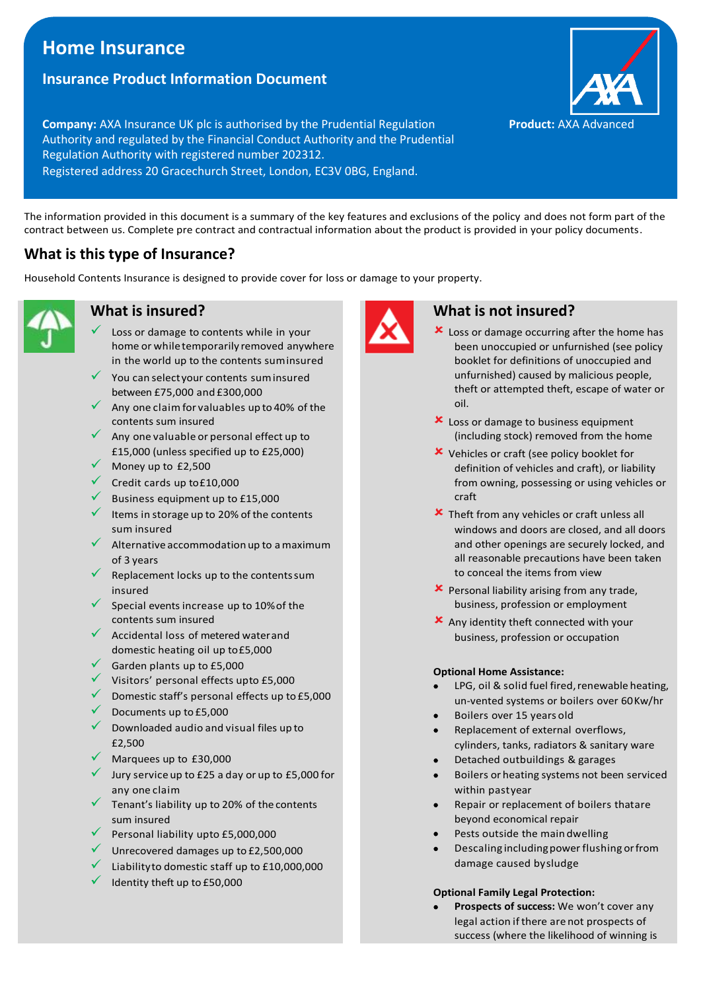# **Home Insurance**

## **Insurance Product Information Document**

**Company:** AXA Insurance UK plc is authorised by the Prudential Regulation Authority and regulated by the Financial Conduct Authority and the Prudential Regulation Authority with registered number 202312. Registered address 20 Gracechurch Street, London, EC3V 0BG, England.

The information provided in this document is a summary of the key features and exclusions of the policy and does not form part of the contract between us. Complete pre contract and contractual information about the product is provided in your policy documents.

# **What is this type of Insurance?**

Household Contents Insurance is designed to provide cover for loss or damage to your property.



### **What is insured?**

- Loss or damage to contents while in your home or whiletemporarily removed anywhere in the world up to the contents suminsured
- You can select your contents sum insured between £75,000 and £300,000
- Any one claim for valuables up to 40% of the contents sum insured
- Any one valuable or personal effect up to £15,000 (unless specified up to £25,000)
- $\sqrt{\phantom{a}}$  Money up to £2,500
- Credit cards up to£10,000
- Business equipment up to £15,000
- ✓ Items in storage up to 20% ofthe contents sum insured
- Alternative accommodation up to a maximum of 3 years
- Replacement locks up to the contents sum insured
- Special events increase up to 10% of the contents sum insured
- Accidental loss of metered water and domestic heating oil up to£5,000
- Garden plants up to £5,000
- ✓ Visitors' personal effects upto £5,000
- $\checkmark$  Domestic staff's personal effects up to £5,000
- Documents up to £5,000
- ✓ Downloaded audio and visual files up to £2,500
- Marquees up to £30,000
- $\checkmark$  Jury service up to £25 a day or up to £5,000 for any one claim
- ✓ Tenant's liability up to 20% of the contents sum insured
- ✓ Personal liability upto £5,000,000
- $\checkmark$  Unrecovered damages up to £2,500,000
- Liabilityto domestic staff up to £10,000,000
- Identity theft up to £50,000



### **What is not insured?**

- **x** Loss or damage occurring after the home has been unoccupied or unfurnished (see policy booklet for definitions of unoccupied and unfurnished) caused by malicious people, theft or attempted theft, escape of water or oil.
- **x** Loss or damage to business equipment (including stock) removed from the home
- Vehicles or craft (see policy booklet for definition of vehicles and craft), or liability from owning, possessing or using vehicles or craft
- **x** Theft from any vehicles or craft unless all windows and doors are closed, and all doors and other openings are securely locked, and all reasonable precautions have been taken to conceal the items from view
- Personal liability arising from any trade, business, profession or employment
- Any identity theft connected with your business, profession or occupation

#### **Optional Home Assistance:**

- LPG, oil & solid fuel fired, renewable heating, un-vented systems or boilers over 60Kw/hr
- Boilers over 15 years old
- Replacement of external overflows, cylinders, tanks, radiators & sanitary ware
- Detached outbuildings & garages
- Boilers or heating systems not been serviced within pastyear
- Repair or replacement of boilers thatare beyond economical repair
- Pests outside the maindwelling
- Descaling includingpowerflushing orfrom damage caused bysludge

#### **Optional Family Legal Protection:**

• **Prospects of success:** We won't cover any legal action if there are not prospects of success (where the likelihood of winning is

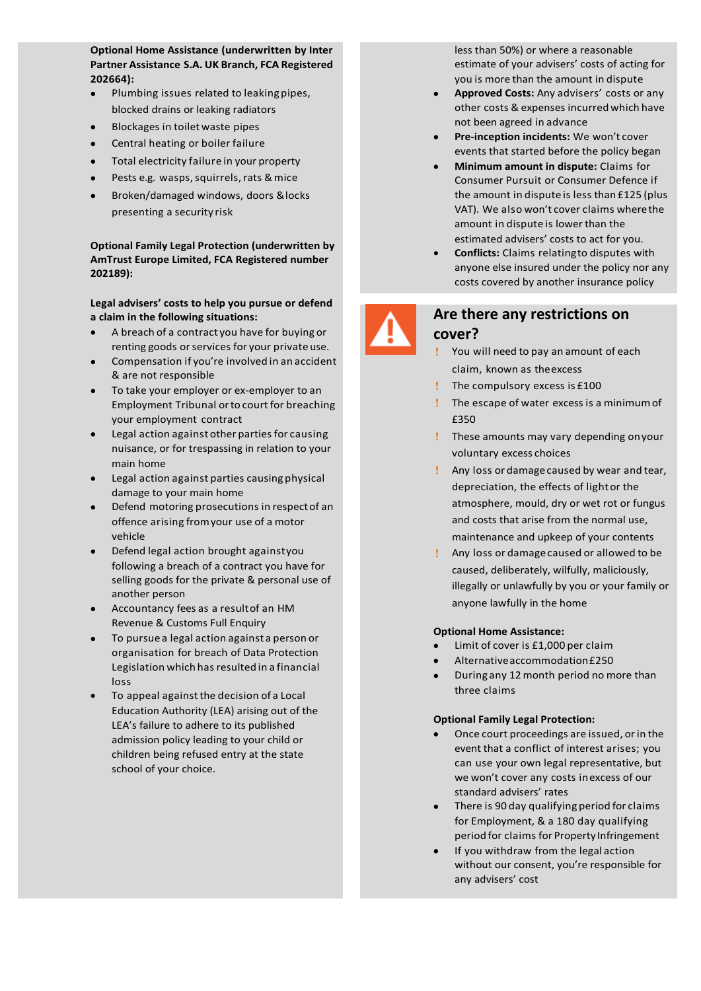**number 202664): Optional Home Assistance (underwritten by Inter Partner Assistance S.A. UK Branch, FCA Registered** 

- Plumbing issues related to leakingpipes, blocked drains or leaking radiators
- Blockages in toiletwaste pipes
- Central heating or boiler failure
- Total electricity failure in your property
- Pests e.g. wasps, squirrels, rats & mice
- Broken/damaged windows, doors &locks presenting a security risk

**Optional Family Legal Protection (underwritten by AmTrust Europe Limited, FCA Registered number 202189):**

#### **Legal advisers' costs to help you pursue or defend a claim in the following situations:**

- A breach of a contract you have for buying or renting goods or services for your privateuse.
- Compensation if you're involved in an accident & are not responsible
- To take your employer or ex-employer to an Employment Tribunal or to court for breaching your employment contract
- Legal action against other parties for causing nuisance, or for trespassing in relation to your main home
- Legal action against parties causing physical damage to your main home
- Defend motoring prosecutions in respectof an offence arising fromyour use of a motor vehicle
- Defend legal action brought againstyou following a breach of a contract you have for selling goods for the private & personal use of another person
- Accountancy fees as a resultof an HM Revenue & Customs Full Enquiry
- To pursuea legal action against a person or organisation for breach of Data Protection Legislation which has resulted in a financial loss
- To appeal againstthe decision of a Local Education Authority (LEA) arising out of the LEA's failure to adhere to its published admission policy leading to your child or children being refused entry at the state school of your choice.

less than 50%) or where a reasonable estimate of your advisers' costs of acting for you is more than the amount in dispute

- **Approved Costs:** Any advisers' costs or any other costs & expenses incurred which have not been agreed in advance
- **Pre-inception incidents:** We won't cover events that started before the policy began
- **Minimum amount in dispute:** Claims for Consumer Pursuit or Consumer Defence if the amount in dispute is less than £125 (plus VAT). We also won't cover claims wherethe amount in dispute is lower than the estimated advisers' costs to act for you.
- **Conflicts:** Claims relatingto disputes with anyone else insured under the policy nor any costs covered by another insurance policy



### **Are there any restrictions on cover?**

- You will need to pay an amount of each claim, known as theexcess
- The compulsory excess is £100
- The escape of water excess is a minimumof £350
- These amounts may vary depending onyour voluntary excess choices
- Any loss or damagecaused by wear and tear, depreciation, the effects of lightor the atmosphere, mould, dry or wet rot or fungus and costs that arise from the normal use, maintenance and upkeep of your contents
- Any loss or damagecaused or allowed to be caused, deliberately, wilfully, maliciously, illegally or unlawfully by you or your family or anyone lawfully in the home

#### **Optional Home Assistance:**

- Limit of cover is £1,000 per claim
- Alternativeaccommodation£250
- During any 12month period no more than three claims

#### **Optional Family Legal Protection:**

- Once court proceedings are issued, orin the event that a conflict of interest arises; you can use your own legal representative, but we won't cover any costs inexcess of our standard advisers' rates
- There is 90 day qualifying period for claims for Employment, & a 180 day qualifying period for claims for Property Infringement
- If you withdraw from the legal action without our consent, you're responsible for any advisers' cost